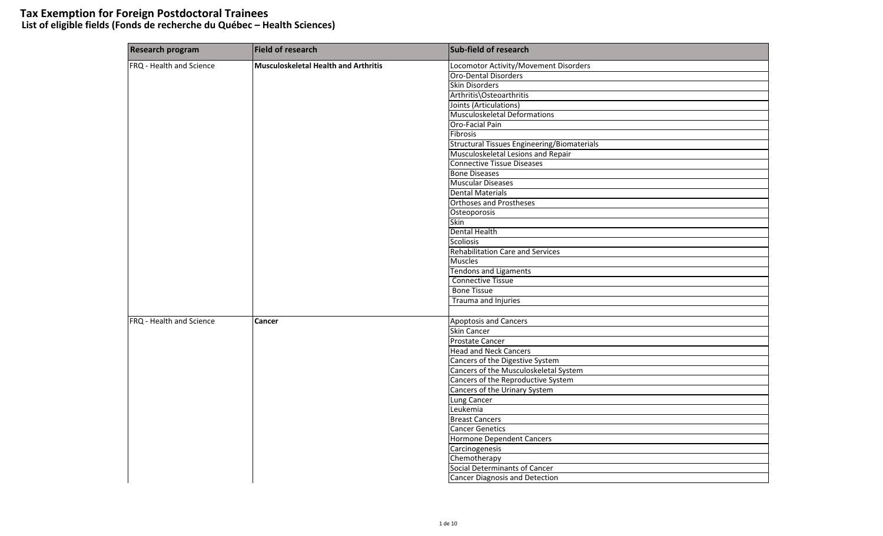# **Tax Exemption for Foreign Postdoctoral Trainees List of eligible fields (Fonds de recherche du Québec – Health Sciences)**

| <b>Research program</b>  | <b>Field of research</b>                    | Sub-field of research                              |
|--------------------------|---------------------------------------------|----------------------------------------------------|
| FRQ - Health and Science | <b>Musculoskeletal Health and Arthritis</b> | Locomotor Activity/Movement Disorders              |
|                          |                                             | Oro-Dental Disorders                               |
|                          |                                             | <b>Skin Disorders</b>                              |
|                          |                                             | Arthritis\Osteoarthritis                           |
|                          |                                             | Joints (Articulations)                             |
|                          |                                             | <b>Musculoskeletal Deformations</b>                |
|                          |                                             | Oro-Facial Pain                                    |
|                          |                                             | <b>Fibrosis</b>                                    |
|                          |                                             | <b>Structural Tissues Engineering/Biomaterials</b> |
|                          |                                             | Musculoskeletal Lesions and Repair                 |
|                          |                                             | <b>Connective Tissue Diseases</b>                  |
|                          |                                             | <b>Bone Diseases</b>                               |
|                          |                                             | <b>Muscular Diseases</b>                           |
|                          |                                             | <b>Dental Materials</b>                            |
|                          |                                             | <b>Orthoses and Prostheses</b>                     |
|                          |                                             | Osteoporosis                                       |
|                          |                                             | Skin                                               |
|                          |                                             | <b>Dental Health</b>                               |
|                          |                                             | <b>Scoliosis</b>                                   |
|                          |                                             | Rehabilitation Care and Services                   |
|                          |                                             | <b>Muscles</b>                                     |
|                          |                                             | <b>Tendons and Ligaments</b>                       |
|                          |                                             | <b>Connective Tissue</b>                           |
|                          |                                             | <b>Bone Tissue</b>                                 |
|                          |                                             | Trauma and Injuries                                |
|                          |                                             |                                                    |
| FRQ - Health and Science | Cancer                                      | Apoptosis and Cancers                              |
|                          |                                             | <b>Skin Cancer</b>                                 |
|                          |                                             | <b>Prostate Cancer</b>                             |
|                          |                                             | <b>Head and Neck Cancers</b>                       |
|                          |                                             | Cancers of the Digestive System                    |
|                          |                                             | Cancers of the Musculoskeletal System              |
|                          |                                             | Cancers of the Reproductive System                 |
|                          |                                             | Cancers of the Urinary System                      |
|                          |                                             | Lung Cancer                                        |
|                          |                                             | Leukemia                                           |
|                          |                                             | <b>Breast Cancers</b>                              |
|                          |                                             | <b>Cancer Genetics</b>                             |
|                          |                                             | <b>Hormone Dependent Cancers</b>                   |
|                          |                                             | Carcinogenesis                                     |
|                          |                                             | Chemotherapy                                       |
|                          |                                             | Social Determinants of Cancer                      |
|                          |                                             | Cancer Diagnosis and Detection                     |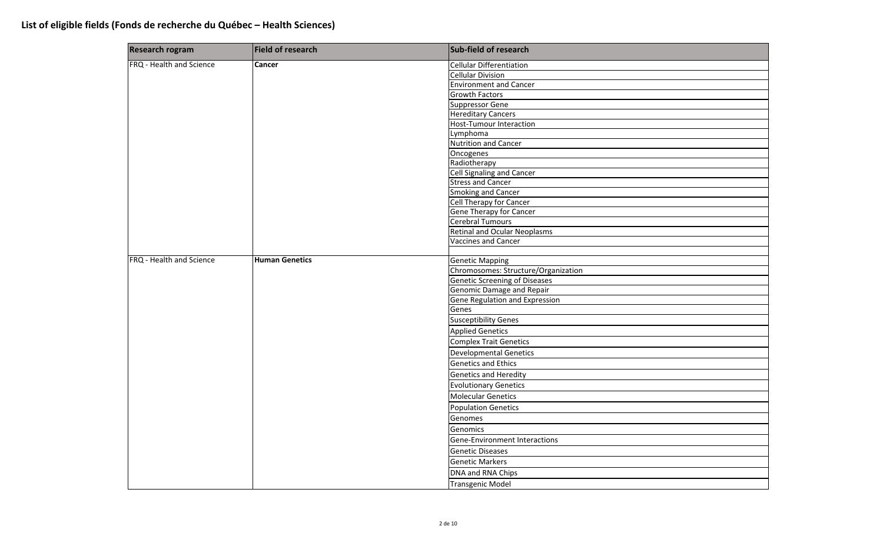| <b>Research rogram</b>   | Field of research     | Sub-field of research                 |
|--------------------------|-----------------------|---------------------------------------|
| FRQ - Health and Science | <b>Cancer</b>         | <b>Cellular Differentiation</b>       |
|                          |                       | <b>Cellular Division</b>              |
|                          |                       | <b>Environment and Cancer</b>         |
|                          |                       | <b>Growth Factors</b>                 |
|                          |                       | <b>Suppressor Gene</b>                |
|                          |                       | <b>Hereditary Cancers</b>             |
|                          |                       | <b>Host-Tumour Interaction</b>        |
|                          |                       | Lymphoma                              |
|                          |                       | <b>Nutrition and Cancer</b>           |
|                          |                       | Oncogenes                             |
|                          |                       | Radiotherapy                          |
|                          |                       | Cell Signaling and Cancer             |
|                          |                       | <b>Stress and Cancer</b>              |
|                          |                       | <b>Smoking and Cancer</b>             |
|                          |                       | Cell Therapy for Cancer               |
|                          |                       | Gene Therapy for Cancer               |
|                          |                       | Cerebral Tumours                      |
|                          |                       | <b>Retinal and Ocular Neoplasms</b>   |
|                          |                       | <b>Vaccines and Cancer</b>            |
|                          |                       |                                       |
| FRQ - Health and Science | <b>Human Genetics</b> | <b>Genetic Mapping</b>                |
|                          |                       | Chromosomes: Structure/Organization   |
|                          |                       | <b>Genetic Screening of Diseases</b>  |
|                          |                       | Genomic Damage and Repair             |
|                          |                       | <b>Gene Regulation and Expression</b> |
|                          |                       | Genes                                 |
|                          |                       | <b>Susceptibility Genes</b>           |
|                          |                       | <b>Applied Genetics</b>               |
|                          |                       | <b>Complex Trait Genetics</b>         |
|                          |                       | <b>Developmental Genetics</b>         |
|                          |                       | <b>Genetics and Ethics</b>            |
|                          |                       | <b>Genetics and Heredity</b>          |
|                          |                       | <b>Evolutionary Genetics</b>          |
|                          |                       | <b>Molecular Genetics</b>             |
|                          |                       | <b>Population Genetics</b>            |
|                          |                       | Genomes                               |
|                          |                       | Genomics                              |
|                          |                       | Gene-Environment Interactions         |
|                          |                       | <b>Genetic Diseases</b>               |
|                          |                       | <b>Genetic Markers</b>                |
|                          |                       | DNA and RNA Chips                     |
|                          |                       | <b>Transgenic Model</b>               |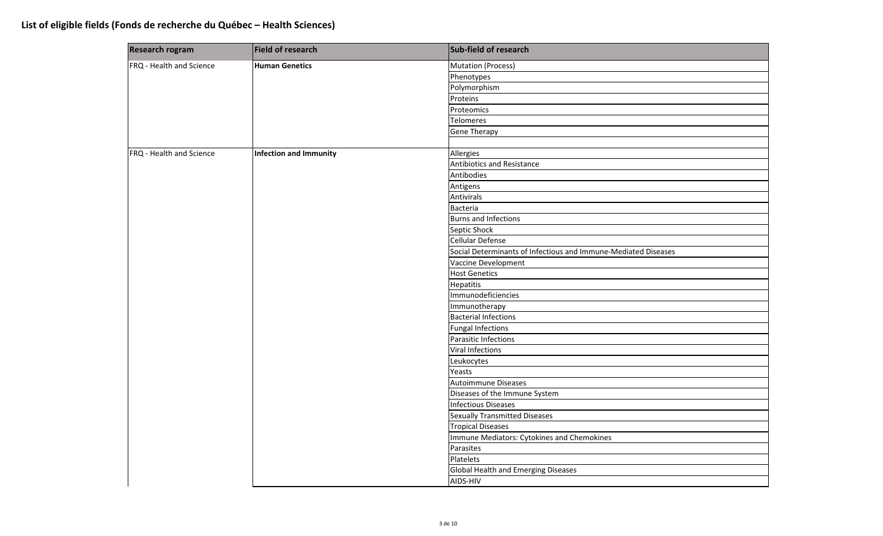| Research rogram          | Field of research             | Sub-field of research                                          |
|--------------------------|-------------------------------|----------------------------------------------------------------|
| FRQ - Health and Science | <b>Human Genetics</b>         | <b>Mutation (Process)</b>                                      |
|                          |                               | Phenotypes                                                     |
|                          |                               | Polymorphism                                                   |
|                          |                               | Proteins                                                       |
|                          |                               | Proteomics                                                     |
|                          |                               | <b>Telomeres</b>                                               |
|                          |                               | <b>Gene Therapy</b>                                            |
|                          |                               |                                                                |
| FRQ - Health and Science | <b>Infection and Immunity</b> | Allergies                                                      |
|                          |                               | Antibiotics and Resistance                                     |
|                          |                               | Antibodies                                                     |
|                          |                               | Antigens                                                       |
|                          |                               | Antivirals                                                     |
|                          |                               | <b>Bacteria</b>                                                |
|                          |                               | <b>Burns and Infections</b>                                    |
|                          |                               | Septic Shock                                                   |
|                          |                               | Cellular Defense                                               |
|                          |                               | Social Determinants of Infectious and Immune-Mediated Diseases |
|                          |                               | Vaccine Development                                            |
|                          |                               | <b>Host Genetics</b>                                           |
|                          |                               | <b>Hepatitis</b>                                               |
|                          |                               | Immunodeficiencies                                             |
|                          |                               | Immunotherapy                                                  |
|                          |                               | <b>Bacterial Infections</b>                                    |
|                          |                               | <b>Fungal Infections</b>                                       |
|                          |                               | Parasitic Infections                                           |
|                          |                               | <b>Viral Infections</b>                                        |
|                          |                               | Leukocytes                                                     |
|                          |                               | Yeasts                                                         |
|                          |                               | Autoimmune Diseases                                            |
|                          |                               | Diseases of the Immune System                                  |
|                          |                               | <b>Infectious Diseases</b>                                     |
|                          |                               | <b>Sexually Transmitted Diseases</b>                           |
|                          |                               | <b>Tropical Diseases</b>                                       |
|                          |                               | Immune Mediators: Cytokines and Chemokines                     |
|                          |                               | Parasites                                                      |
|                          |                               | Platelets                                                      |
|                          |                               | Global Health and Emerging Diseases                            |
|                          |                               | AIDS-HIV                                                       |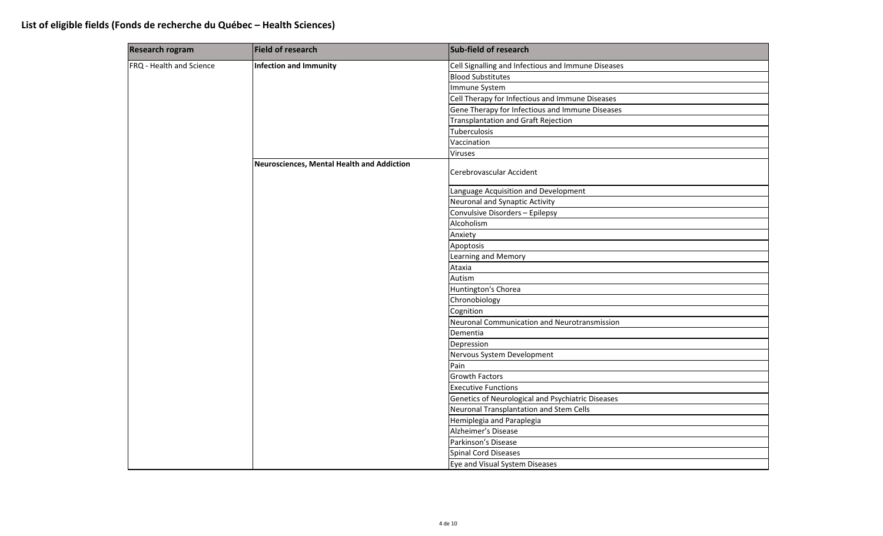| <b>Research rogram</b>   | Field of research                          | Sub-field of research                              |
|--------------------------|--------------------------------------------|----------------------------------------------------|
| FRQ - Health and Science | <b>Infection and Immunity</b>              | Cell Signalling and Infectious and Immune Diseases |
|                          |                                            | <b>Blood Substitutes</b>                           |
|                          |                                            | Immune System                                      |
|                          |                                            | Cell Therapy for Infectious and Immune Diseases    |
|                          |                                            | Gene Therapy for Infectious and Immune Diseases    |
|                          |                                            | Transplantation and Graft Rejection                |
|                          |                                            | Tuberculosis                                       |
|                          |                                            | Vaccination                                        |
|                          |                                            | <b>Viruses</b>                                     |
|                          | Neurosciences, Mental Health and Addiction | Cerebrovascular Accident                           |
|                          |                                            | Language Acquisition and Development               |
|                          |                                            | Neuronal and Synaptic Activity                     |
|                          |                                            | Convulsive Disorders - Epilepsy                    |
|                          |                                            | Alcoholism                                         |
|                          |                                            | Anxiety                                            |
|                          |                                            | Apoptosis                                          |
|                          |                                            | <b>Learning and Memory</b>                         |
|                          |                                            | Ataxia                                             |
|                          |                                            | Autism                                             |
|                          |                                            | Huntington's Chorea                                |
|                          |                                            | Chronobiology                                      |
|                          |                                            | Cognition                                          |
|                          |                                            | Neuronal Communication and Neurotransmission       |
|                          |                                            | Dementia                                           |
|                          |                                            | Depression                                         |
|                          |                                            | Nervous System Development                         |
|                          |                                            | Pain                                               |
|                          |                                            | <b>Growth Factors</b>                              |
|                          |                                            | <b>Executive Functions</b>                         |
|                          |                                            | Genetics of Neurological and Psychiatric Diseases  |
|                          |                                            | Neuronal Transplantation and Stem Cells            |
|                          |                                            | Hemiplegia and Paraplegia                          |
|                          |                                            | Alzheimer's Disease                                |
|                          |                                            | Parkinson's Disease                                |
|                          |                                            | <b>Spinal Cord Diseases</b>                        |
|                          |                                            | Eye and Visual System Diseases                     |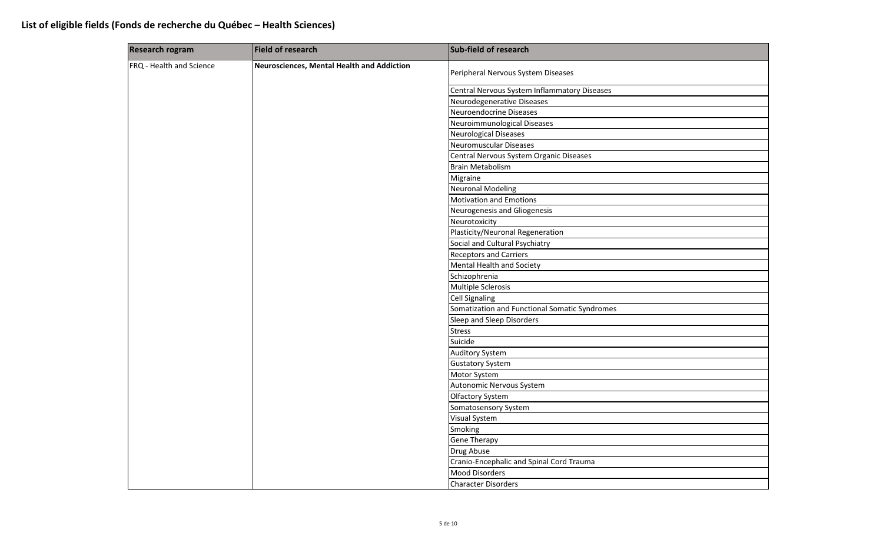| <b>Research rogram</b>   | Field of research                          | Sub-field of research                         |
|--------------------------|--------------------------------------------|-----------------------------------------------|
| FRQ - Health and Science | Neurosciences, Mental Health and Addiction | Peripheral Nervous System Diseases            |
|                          |                                            | Central Nervous System Inflammatory Diseases  |
|                          |                                            | Neurodegenerative Diseases                    |
|                          |                                            | Neuroendocrine Diseases                       |
|                          |                                            | Neuroimmunological Diseases                   |
|                          |                                            | Neurological Diseases                         |
|                          |                                            | Neuromuscular Diseases                        |
|                          |                                            | Central Nervous System Organic Diseases       |
|                          |                                            | <b>Brain Metabolism</b>                       |
|                          |                                            | Migraine                                      |
|                          |                                            | <b>Neuronal Modeling</b>                      |
|                          |                                            | <b>Motivation and Emotions</b>                |
|                          |                                            | Neurogenesis and Gliogenesis                  |
|                          |                                            | Neurotoxicity                                 |
|                          |                                            | Plasticity/Neuronal Regeneration              |
|                          |                                            | Social and Cultural Psychiatry                |
|                          |                                            | <b>Receptors and Carriers</b>                 |
|                          | Mental Health and Society                  |                                               |
|                          |                                            | Schizophrenia                                 |
|                          |                                            | Multiple Sclerosis                            |
|                          |                                            | <b>Cell Signaling</b>                         |
|                          |                                            | Somatization and Functional Somatic Syndromes |
|                          |                                            | Sleep and Sleep Disorders                     |
|                          |                                            | <b>Stress</b>                                 |
|                          |                                            | Suicide                                       |
|                          |                                            | <b>Auditory System</b>                        |
|                          |                                            | <b>Gustatory System</b>                       |
|                          |                                            | Motor System                                  |
|                          |                                            | Autonomic Nervous System                      |
|                          |                                            | Olfactory System                              |
|                          |                                            | Somatosensory System                          |
|                          |                                            | Visual System                                 |
|                          |                                            | Smoking                                       |
|                          |                                            | <b>Gene Therapy</b>                           |
|                          |                                            | Drug Abuse                                    |
|                          |                                            | Cranio-Encephalic and Spinal Cord Trauma      |
|                          |                                            | <b>Mood Disorders</b>                         |
|                          | <b>Character Disorders</b>                 |                                               |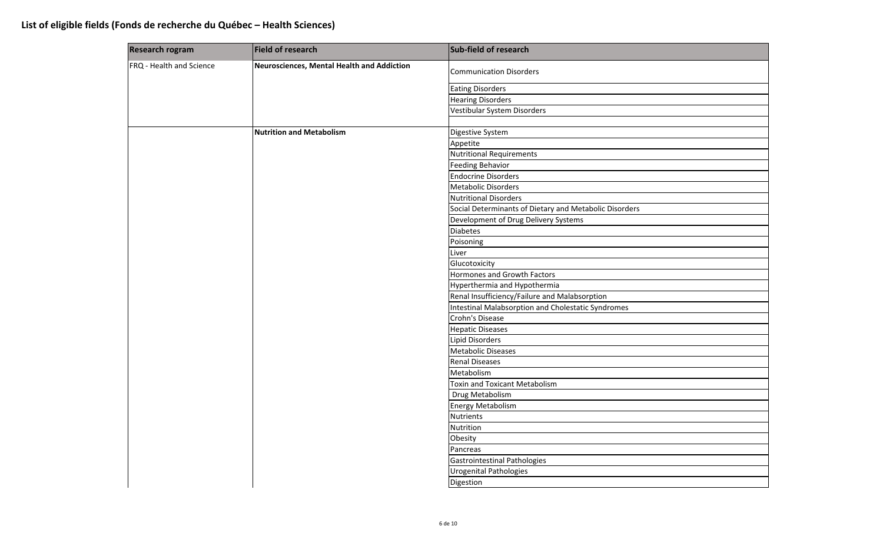| Neurosciences, Mental Health and Addiction<br><b>Communication Disorders</b><br><b>Eating Disorders</b><br><b>Hearing Disorders</b><br>Vestibular System Disorders<br><b>Nutrition and Metabolism</b><br>Digestive System<br>Appetite<br><b>Nutritional Requirements</b><br><b>Feeding Behavior</b><br><b>Endocrine Disorders</b><br><b>Metabolic Disorders</b><br><b>Nutritional Disorders</b><br>Social Determinants of Dietary and Metabolic Disorders<br>Development of Drug Delivery Systems<br><b>Diabetes</b><br>Poisoning<br>Liver<br>Glucotoxicity<br>Hormones and Growth Factors<br>Hyperthermia and Hypothermia<br>Renal Insufficiency/Failure and Malabsorption<br>Intestinal Malabsorption and Cholestatic Syndromes<br>Crohn's Disease<br><b>Hepatic Diseases</b><br><b>Lipid Disorders</b><br><b>Metabolic Diseases</b><br><b>Renal Diseases</b><br>Metabolism<br><b>Toxin and Toxicant Metabolism</b><br>Drug Metabolism<br>Energy Metabolism<br><b>Nutrients</b><br>Nutrition<br>Obesity<br>Pancreas<br>Gastrointestinal Pathologies | <b>Research rogram</b>   | Field of research | Sub-field of research         |  |
|-------------------------------------------------------------------------------------------------------------------------------------------------------------------------------------------------------------------------------------------------------------------------------------------------------------------------------------------------------------------------------------------------------------------------------------------------------------------------------------------------------------------------------------------------------------------------------------------------------------------------------------------------------------------------------------------------------------------------------------------------------------------------------------------------------------------------------------------------------------------------------------------------------------------------------------------------------------------------------------------------------------------------------------------------------|--------------------------|-------------------|-------------------------------|--|
|                                                                                                                                                                                                                                                                                                                                                                                                                                                                                                                                                                                                                                                                                                                                                                                                                                                                                                                                                                                                                                                       | FRQ - Health and Science |                   |                               |  |
|                                                                                                                                                                                                                                                                                                                                                                                                                                                                                                                                                                                                                                                                                                                                                                                                                                                                                                                                                                                                                                                       |                          |                   |                               |  |
|                                                                                                                                                                                                                                                                                                                                                                                                                                                                                                                                                                                                                                                                                                                                                                                                                                                                                                                                                                                                                                                       |                          |                   |                               |  |
|                                                                                                                                                                                                                                                                                                                                                                                                                                                                                                                                                                                                                                                                                                                                                                                                                                                                                                                                                                                                                                                       |                          |                   |                               |  |
|                                                                                                                                                                                                                                                                                                                                                                                                                                                                                                                                                                                                                                                                                                                                                                                                                                                                                                                                                                                                                                                       |                          |                   |                               |  |
|                                                                                                                                                                                                                                                                                                                                                                                                                                                                                                                                                                                                                                                                                                                                                                                                                                                                                                                                                                                                                                                       |                          |                   |                               |  |
|                                                                                                                                                                                                                                                                                                                                                                                                                                                                                                                                                                                                                                                                                                                                                                                                                                                                                                                                                                                                                                                       |                          |                   |                               |  |
|                                                                                                                                                                                                                                                                                                                                                                                                                                                                                                                                                                                                                                                                                                                                                                                                                                                                                                                                                                                                                                                       |                          |                   |                               |  |
|                                                                                                                                                                                                                                                                                                                                                                                                                                                                                                                                                                                                                                                                                                                                                                                                                                                                                                                                                                                                                                                       |                          |                   |                               |  |
|                                                                                                                                                                                                                                                                                                                                                                                                                                                                                                                                                                                                                                                                                                                                                                                                                                                                                                                                                                                                                                                       |                          |                   |                               |  |
|                                                                                                                                                                                                                                                                                                                                                                                                                                                                                                                                                                                                                                                                                                                                                                                                                                                                                                                                                                                                                                                       |                          |                   |                               |  |
|                                                                                                                                                                                                                                                                                                                                                                                                                                                                                                                                                                                                                                                                                                                                                                                                                                                                                                                                                                                                                                                       |                          |                   |                               |  |
|                                                                                                                                                                                                                                                                                                                                                                                                                                                                                                                                                                                                                                                                                                                                                                                                                                                                                                                                                                                                                                                       |                          |                   |                               |  |
|                                                                                                                                                                                                                                                                                                                                                                                                                                                                                                                                                                                                                                                                                                                                                                                                                                                                                                                                                                                                                                                       |                          |                   |                               |  |
|                                                                                                                                                                                                                                                                                                                                                                                                                                                                                                                                                                                                                                                                                                                                                                                                                                                                                                                                                                                                                                                       |                          |                   |                               |  |
|                                                                                                                                                                                                                                                                                                                                                                                                                                                                                                                                                                                                                                                                                                                                                                                                                                                                                                                                                                                                                                                       |                          |                   |                               |  |
|                                                                                                                                                                                                                                                                                                                                                                                                                                                                                                                                                                                                                                                                                                                                                                                                                                                                                                                                                                                                                                                       |                          |                   |                               |  |
|                                                                                                                                                                                                                                                                                                                                                                                                                                                                                                                                                                                                                                                                                                                                                                                                                                                                                                                                                                                                                                                       |                          |                   |                               |  |
|                                                                                                                                                                                                                                                                                                                                                                                                                                                                                                                                                                                                                                                                                                                                                                                                                                                                                                                                                                                                                                                       |                          |                   |                               |  |
|                                                                                                                                                                                                                                                                                                                                                                                                                                                                                                                                                                                                                                                                                                                                                                                                                                                                                                                                                                                                                                                       |                          |                   |                               |  |
|                                                                                                                                                                                                                                                                                                                                                                                                                                                                                                                                                                                                                                                                                                                                                                                                                                                                                                                                                                                                                                                       |                          |                   |                               |  |
|                                                                                                                                                                                                                                                                                                                                                                                                                                                                                                                                                                                                                                                                                                                                                                                                                                                                                                                                                                                                                                                       |                          |                   |                               |  |
|                                                                                                                                                                                                                                                                                                                                                                                                                                                                                                                                                                                                                                                                                                                                                                                                                                                                                                                                                                                                                                                       |                          |                   |                               |  |
|                                                                                                                                                                                                                                                                                                                                                                                                                                                                                                                                                                                                                                                                                                                                                                                                                                                                                                                                                                                                                                                       |                          |                   |                               |  |
|                                                                                                                                                                                                                                                                                                                                                                                                                                                                                                                                                                                                                                                                                                                                                                                                                                                                                                                                                                                                                                                       |                          |                   |                               |  |
|                                                                                                                                                                                                                                                                                                                                                                                                                                                                                                                                                                                                                                                                                                                                                                                                                                                                                                                                                                                                                                                       |                          |                   |                               |  |
|                                                                                                                                                                                                                                                                                                                                                                                                                                                                                                                                                                                                                                                                                                                                                                                                                                                                                                                                                                                                                                                       |                          |                   |                               |  |
|                                                                                                                                                                                                                                                                                                                                                                                                                                                                                                                                                                                                                                                                                                                                                                                                                                                                                                                                                                                                                                                       |                          |                   |                               |  |
|                                                                                                                                                                                                                                                                                                                                                                                                                                                                                                                                                                                                                                                                                                                                                                                                                                                                                                                                                                                                                                                       |                          |                   |                               |  |
|                                                                                                                                                                                                                                                                                                                                                                                                                                                                                                                                                                                                                                                                                                                                                                                                                                                                                                                                                                                                                                                       |                          |                   |                               |  |
|                                                                                                                                                                                                                                                                                                                                                                                                                                                                                                                                                                                                                                                                                                                                                                                                                                                                                                                                                                                                                                                       |                          |                   |                               |  |
|                                                                                                                                                                                                                                                                                                                                                                                                                                                                                                                                                                                                                                                                                                                                                                                                                                                                                                                                                                                                                                                       |                          |                   |                               |  |
|                                                                                                                                                                                                                                                                                                                                                                                                                                                                                                                                                                                                                                                                                                                                                                                                                                                                                                                                                                                                                                                       |                          |                   |                               |  |
|                                                                                                                                                                                                                                                                                                                                                                                                                                                                                                                                                                                                                                                                                                                                                                                                                                                                                                                                                                                                                                                       |                          |                   |                               |  |
|                                                                                                                                                                                                                                                                                                                                                                                                                                                                                                                                                                                                                                                                                                                                                                                                                                                                                                                                                                                                                                                       |                          |                   |                               |  |
|                                                                                                                                                                                                                                                                                                                                                                                                                                                                                                                                                                                                                                                                                                                                                                                                                                                                                                                                                                                                                                                       |                          |                   |                               |  |
|                                                                                                                                                                                                                                                                                                                                                                                                                                                                                                                                                                                                                                                                                                                                                                                                                                                                                                                                                                                                                                                       |                          |                   | <b>Urogenital Pathologies</b> |  |
| Digestion                                                                                                                                                                                                                                                                                                                                                                                                                                                                                                                                                                                                                                                                                                                                                                                                                                                                                                                                                                                                                                             |                          |                   |                               |  |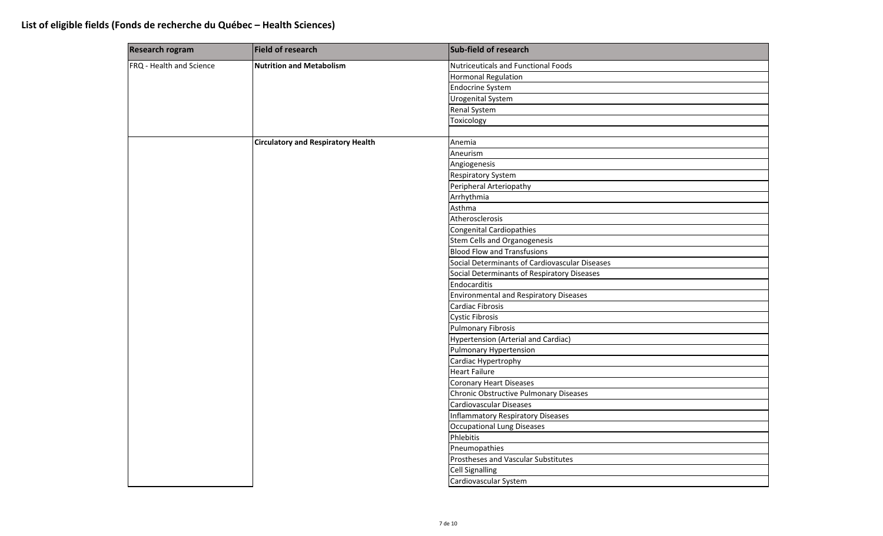| <b>Research rogram</b>   | Field of research                         | Sub-field of research                          |
|--------------------------|-------------------------------------------|------------------------------------------------|
| FRQ - Health and Science | <b>Nutrition and Metabolism</b>           | <b>Nutriceuticals and Functional Foods</b>     |
|                          |                                           | <b>Hormonal Regulation</b>                     |
|                          |                                           | <b>Endocrine System</b>                        |
|                          |                                           | <b>Urogenital System</b>                       |
|                          |                                           | Renal System                                   |
|                          |                                           | Toxicology                                     |
|                          |                                           |                                                |
|                          | <b>Circulatory and Respiratory Health</b> | Anemia                                         |
|                          |                                           | Aneurism                                       |
|                          |                                           | Angiogenesis                                   |
|                          |                                           | <b>Respiratory System</b>                      |
|                          |                                           | Peripheral Arteriopathy                        |
|                          |                                           | Arrhythmia                                     |
|                          |                                           | Asthma                                         |
|                          |                                           | Atherosclerosis                                |
|                          |                                           | Congenital Cardiopathies                       |
|                          |                                           | Stem Cells and Organogenesis                   |
|                          |                                           | <b>Blood Flow and Transfusions</b>             |
|                          |                                           | Social Determinants of Cardiovascular Diseases |
|                          |                                           | Social Determinants of Respiratory Diseases    |
|                          |                                           | Endocarditis                                   |
|                          |                                           | <b>Environmental and Respiratory Diseases</b>  |
|                          |                                           | Cardiac Fibrosis                               |
|                          |                                           | <b>Cystic Fibrosis</b>                         |
|                          |                                           | <b>Pulmonary Fibrosis</b>                      |
|                          |                                           | Hypertension (Arterial and Cardiac)            |
|                          |                                           | <b>Pulmonary Hypertension</b>                  |
|                          |                                           | Cardiac Hypertrophy                            |
|                          |                                           | <b>Heart Failure</b>                           |
|                          |                                           | <b>Coronary Heart Diseases</b>                 |
|                          |                                           | Chronic Obstructive Pulmonary Diseases         |
|                          |                                           | Cardiovascular Diseases                        |
|                          |                                           | Inflammatory Respiratory Diseases              |
|                          |                                           | <b>Occupational Lung Diseases</b>              |
|                          |                                           | Phlebitis                                      |
|                          |                                           | Pneumopathies                                  |
|                          |                                           | Prostheses and Vascular Substitutes            |
|                          |                                           | <b>Cell Signalling</b>                         |
|                          |                                           | Cardiovascular System                          |
|                          |                                           |                                                |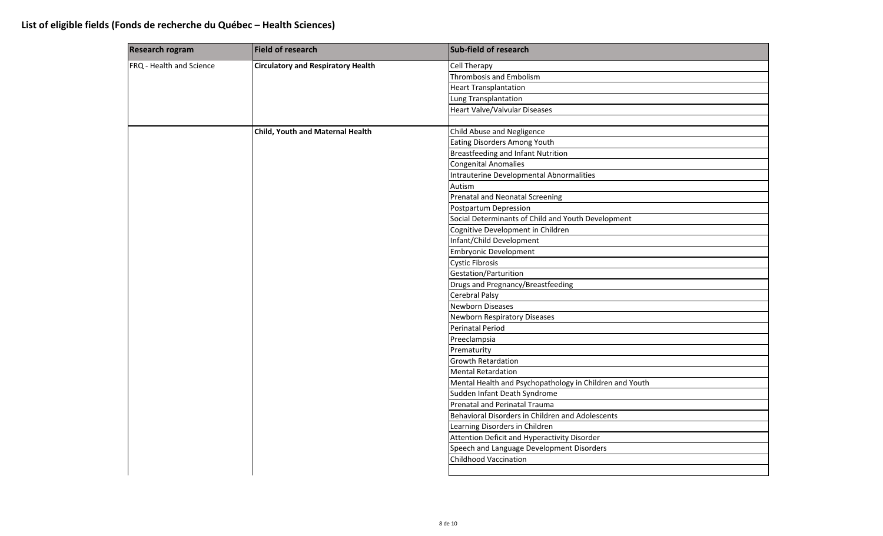| <b>Research rogram</b>   | <b>Field of research</b>                  | Sub-field of research                                   |
|--------------------------|-------------------------------------------|---------------------------------------------------------|
| FRQ - Health and Science | <b>Circulatory and Respiratory Health</b> | <b>Cell Therapy</b>                                     |
|                          |                                           | <b>Thrombosis and Embolism</b>                          |
|                          |                                           | <b>Heart Transplantation</b>                            |
|                          |                                           | Lung Transplantation                                    |
|                          |                                           | Heart Valve/Valvular Diseases                           |
|                          |                                           |                                                         |
|                          | Child, Youth and Maternal Health          | Child Abuse and Negligence                              |
|                          |                                           | Eating Disorders Among Youth                            |
|                          |                                           | Breastfeeding and Infant Nutrition                      |
|                          |                                           | <b>Congenital Anomalies</b>                             |
|                          |                                           | Intrauterine Developmental Abnormalities                |
|                          |                                           | Autism                                                  |
|                          |                                           | Prenatal and Neonatal Screening                         |
|                          |                                           | Postpartum Depression                                   |
|                          |                                           | Social Determinants of Child and Youth Development      |
|                          |                                           | Cognitive Development in Children                       |
|                          |                                           | Infant/Child Development                                |
|                          |                                           | <b>Embryonic Development</b>                            |
|                          |                                           | <b>Cystic Fibrosis</b>                                  |
|                          |                                           | Gestation/Parturition                                   |
|                          |                                           | Drugs and Pregnancy/Breastfeeding                       |
|                          |                                           | <b>Cerebral Palsy</b>                                   |
|                          |                                           | Newborn Diseases                                        |
|                          |                                           | Newborn Respiratory Diseases                            |
|                          |                                           | <b>Perinatal Period</b>                                 |
|                          |                                           | Preeclampsia                                            |
|                          |                                           | Prematurity                                             |
|                          |                                           | <b>Growth Retardation</b>                               |
|                          |                                           | <b>Mental Retardation</b>                               |
|                          |                                           | Mental Health and Psychopathology in Children and Youth |
|                          |                                           | Sudden Infant Death Syndrome                            |
|                          |                                           | Prenatal and Perinatal Trauma                           |
|                          |                                           | Behavioral Disorders in Children and Adolescents        |
|                          |                                           | Learning Disorders in Children                          |
|                          |                                           | Attention Deficit and Hyperactivity Disorder            |
|                          |                                           | Speech and Language Development Disorders               |
|                          |                                           | <b>Childhood Vaccination</b>                            |
|                          |                                           |                                                         |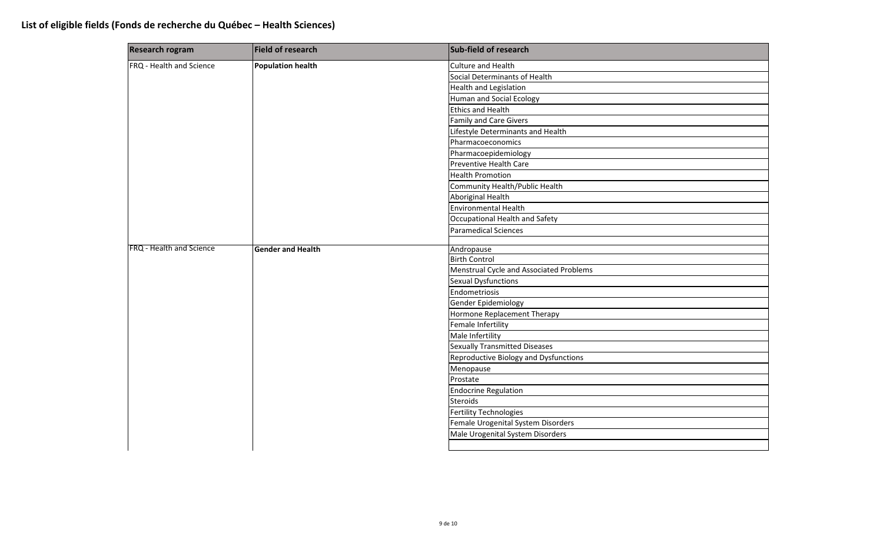| <b>Research rogram</b>   | Field of research        | Sub-field of research                   |
|--------------------------|--------------------------|-----------------------------------------|
| FRQ - Health and Science | <b>Population health</b> | <b>Culture and Health</b>               |
|                          |                          | Social Determinants of Health           |
|                          |                          | <b>Health and Legislation</b>           |
|                          |                          | <b>Human and Social Ecology</b>         |
|                          |                          | <b>Ethics and Health</b>                |
|                          |                          | <b>Family and Care Givers</b>           |
|                          |                          | Lifestyle Determinants and Health       |
|                          |                          | Pharmacoeconomics                       |
|                          |                          | Pharmacoepidemiology                    |
|                          |                          | Preventive Health Care                  |
|                          |                          | <b>Health Promotion</b>                 |
|                          |                          | Community Health/Public Health          |
|                          |                          | <b>Aboriginal Health</b>                |
|                          |                          | <b>Environmental Health</b>             |
|                          |                          | Occupational Health and Safety          |
|                          |                          | <b>Paramedical Sciences</b>             |
|                          |                          |                                         |
| FRQ - Health and Science | <b>Gender and Health</b> | Andropause                              |
|                          |                          | <b>Birth Control</b>                    |
|                          |                          | Menstrual Cycle and Associated Problems |
|                          |                          | <b>Sexual Dysfunctions</b>              |
|                          |                          | Endometriosis                           |
|                          |                          | Gender Epidemiology                     |
|                          |                          | Hormone Replacement Therapy             |
|                          |                          | Female Infertility                      |
|                          |                          | Male Infertility                        |
|                          |                          | Sexually Transmitted Diseases           |
|                          |                          | Reproductive Biology and Dysfunctions   |
|                          |                          | Menopause                               |
|                          |                          | Prostate                                |
|                          |                          | <b>Endocrine Regulation</b>             |
|                          |                          | <b>Steroids</b>                         |
|                          |                          | Fertility Technologies                  |
|                          |                          | Female Urogenital System Disorders      |
|                          |                          | Male Urogenital System Disorders        |
|                          |                          |                                         |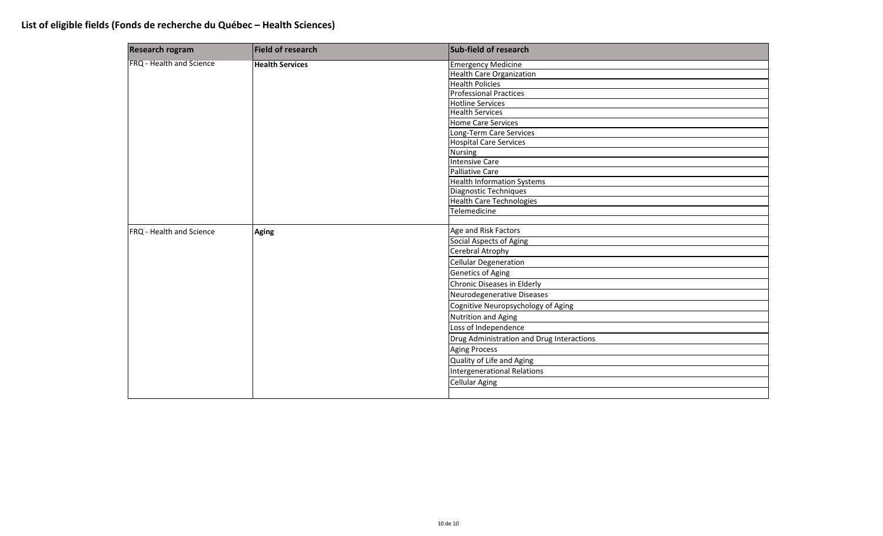| <b>Research rogram</b>   | <b>Field of research</b> | Sub-field of research                     |
|--------------------------|--------------------------|-------------------------------------------|
| FRQ - Health and Science | <b>Health Services</b>   | <b>Emergency Medicine</b>                 |
|                          |                          | <b>Health Care Organization</b>           |
|                          |                          | <b>Health Policies</b>                    |
|                          |                          | <b>Professional Practices</b>             |
|                          |                          | <b>Hotline Services</b>                   |
|                          |                          | <b>Health Services</b>                    |
|                          |                          | Home Care Services                        |
|                          |                          | Long-Term Care Services                   |
|                          |                          | Hospital Care Services                    |
|                          |                          | <b>Nursing</b>                            |
|                          |                          | <b>Intensive Care</b>                     |
|                          |                          | <b>Palliative Care</b>                    |
|                          |                          | <b>Health Information Systems</b>         |
|                          |                          | Diagnostic Techniques                     |
|                          |                          | <b>Health Care Technologies</b>           |
|                          |                          | Telemedicine                              |
|                          |                          |                                           |
| FRQ - Health and Science | <b>Aging</b>             | Age and Risk Factors                      |
|                          |                          | Social Aspects of Aging                   |
|                          |                          | Cerebral Atrophy                          |
|                          |                          | <b>Cellular Degeneration</b>              |
|                          |                          | <b>Genetics of Aging</b>                  |
|                          |                          | Chronic Diseases in Elderly               |
|                          |                          | Neurodegenerative Diseases                |
|                          |                          | Cognitive Neuropsychology of Aging        |
|                          |                          | <b>Nutrition and Aging</b>                |
|                          |                          | Loss of Independence                      |
|                          |                          | Drug Administration and Drug Interactions |
|                          |                          | <b>Aging Process</b>                      |
|                          |                          | Quality of Life and Aging                 |
|                          |                          | <b>Intergenerational Relations</b>        |
|                          |                          | <b>Cellular Aging</b>                     |
|                          |                          |                                           |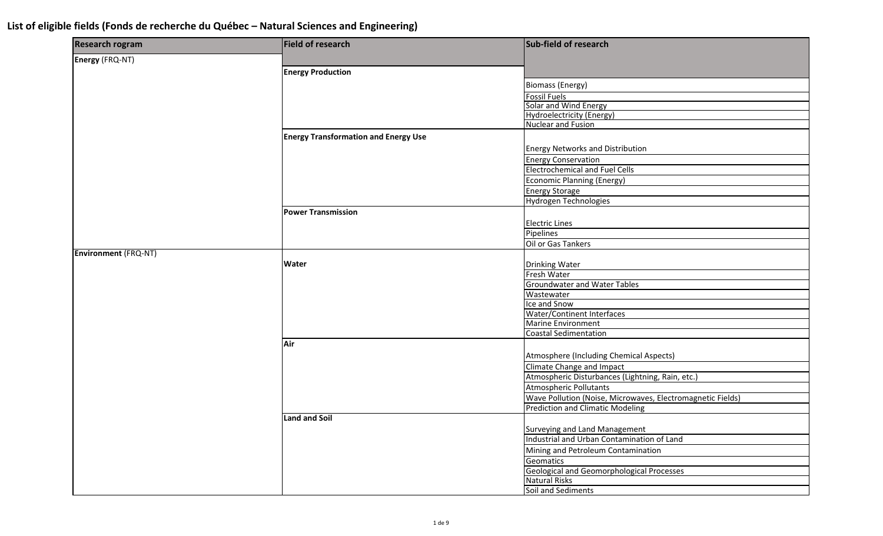| <b>Research rogram</b>      | Field of research                           | Sub-field of research                                      |
|-----------------------------|---------------------------------------------|------------------------------------------------------------|
| Energy (FRQ-NT)             |                                             |                                                            |
|                             | <b>Energy Production</b>                    |                                                            |
|                             |                                             | <b>Biomass (Energy)</b>                                    |
|                             |                                             | <b>Fossil Fuels</b>                                        |
|                             |                                             | Solar and Wind Energy                                      |
|                             |                                             | <b>Hydroelectricity (Energy)</b>                           |
|                             |                                             | <b>Nuclear and Fusion</b>                                  |
|                             | <b>Energy Transformation and Energy Use</b> |                                                            |
|                             |                                             | <b>Energy Networks and Distribution</b>                    |
|                             |                                             | <b>Energy Conservation</b>                                 |
|                             |                                             | <b>Electrochemical and Fuel Cells</b>                      |
|                             |                                             | <b>Economic Planning (Energy)</b>                          |
|                             |                                             | <b>Energy Storage</b>                                      |
|                             |                                             | Hydrogen Technologies                                      |
|                             | <b>Power Transmission</b>                   |                                                            |
|                             |                                             | <b>Electric Lines</b>                                      |
|                             |                                             | Pipelines                                                  |
|                             |                                             | Oil or Gas Tankers                                         |
| <b>Environment (FRQ-NT)</b> |                                             |                                                            |
|                             | <b>Water</b>                                | <b>Drinking Water</b>                                      |
|                             |                                             | Fresh Water                                                |
|                             |                                             | <b>Groundwater and Water Tables</b>                        |
|                             |                                             | Wastewater                                                 |
|                             |                                             | Ice and Snow                                               |
|                             |                                             | <b>Water/Continent Interfaces</b>                          |
|                             |                                             | Marine Environment                                         |
|                             |                                             | <b>Coastal Sedimentation</b>                               |
|                             | Air                                         |                                                            |
|                             |                                             | Atmosphere (Including Chemical Aspects)                    |
|                             |                                             | Climate Change and Impact                                  |
|                             |                                             | Atmospheric Disturbances (Lightning, Rain, etc.)           |
|                             |                                             | <b>Atmospheric Pollutants</b>                              |
|                             |                                             | Wave Pollution (Noise, Microwaves, Electromagnetic Fields) |
|                             |                                             | <b>Prediction and Climatic Modeling</b>                    |
|                             | <b>Land and Soil</b>                        |                                                            |
|                             |                                             | <b>Surveying and Land Management</b>                       |
|                             |                                             | Industrial and Urban Contamination of Land                 |
|                             |                                             | Mining and Petroleum Contamination                         |
|                             |                                             | Geomatics                                                  |
|                             |                                             | <b>Geological and Geomorphological Processes</b>           |
|                             |                                             | <b>Natural Risks</b>                                       |
|                             |                                             | Soil and Sediments                                         |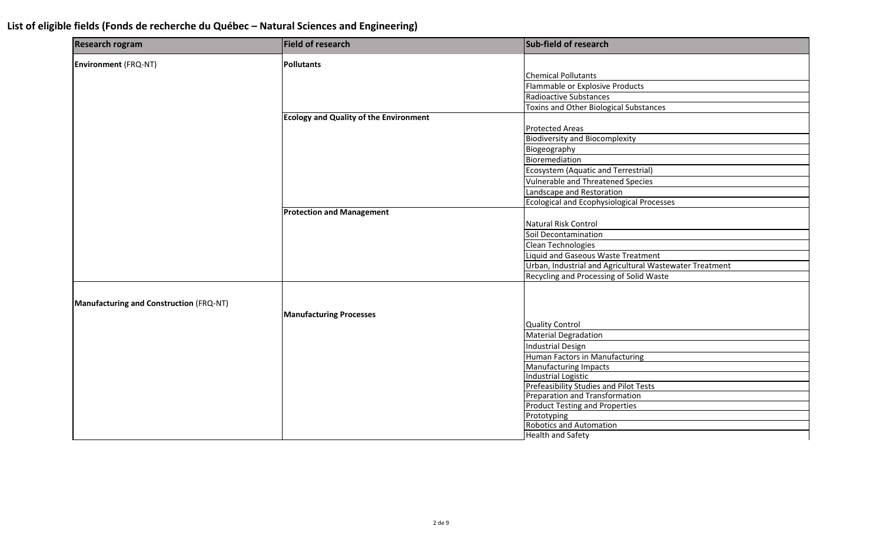| <b>Research rogram</b>                  | <b>Field of research</b>                      | Sub-field of research                                   |
|-----------------------------------------|-----------------------------------------------|---------------------------------------------------------|
| <b>Environment</b> (FRQ-NT)             | <b>Pollutants</b>                             |                                                         |
|                                         |                                               | <b>Chemical Pollutants</b>                              |
|                                         |                                               | Flammable or Explosive Products                         |
|                                         |                                               | Radioactive Substances                                  |
|                                         |                                               | <b>Toxins and Other Biological Substances</b>           |
|                                         | <b>Ecology and Quality of the Environment</b> |                                                         |
|                                         |                                               | <b>Protected Areas</b>                                  |
|                                         |                                               | <b>Biodiversity and Biocomplexity</b>                   |
|                                         |                                               | Biogeography                                            |
|                                         |                                               | Bioremediation                                          |
|                                         |                                               | Ecosystem (Aquatic and Terrestrial)                     |
|                                         |                                               | Vulnerable and Threatened Species                       |
|                                         |                                               | Landscape and Restoration                               |
|                                         |                                               | <b>Ecological and Ecophysiological Processes</b>        |
|                                         | <b>Protection and Management</b>              |                                                         |
|                                         |                                               | Natural Risk Control                                    |
|                                         |                                               | Soil Decontamination                                    |
|                                         |                                               | Clean Technologies                                      |
|                                         |                                               | Liquid and Gaseous Waste Treatment                      |
|                                         |                                               | Urban, Industrial and Agricultural Wastewater Treatment |
|                                         |                                               | Recycling and Processing of Solid Waste                 |
|                                         |                                               |                                                         |
| Manufacturing and Construction (FRQ-NT) |                                               |                                                         |
|                                         | <b>Manufacturing Processes</b>                |                                                         |
|                                         |                                               | <b>Quality Control</b>                                  |
|                                         |                                               | <b>Material Degradation</b>                             |
|                                         |                                               | Industrial Design                                       |
|                                         |                                               | Human Factors in Manufacturing                          |
|                                         |                                               | <b>Manufacturing Impacts</b>                            |
|                                         |                                               | <b>Industrial Logistic</b>                              |
|                                         |                                               | Prefeasibility Studies and Pilot Tests                  |
|                                         |                                               | Preparation and Transformation                          |
|                                         |                                               | <b>Product Testing and Properties</b><br>Prototyping    |
|                                         |                                               | <b>Robotics and Automation</b>                          |
|                                         |                                               | <b>Health and Safety</b>                                |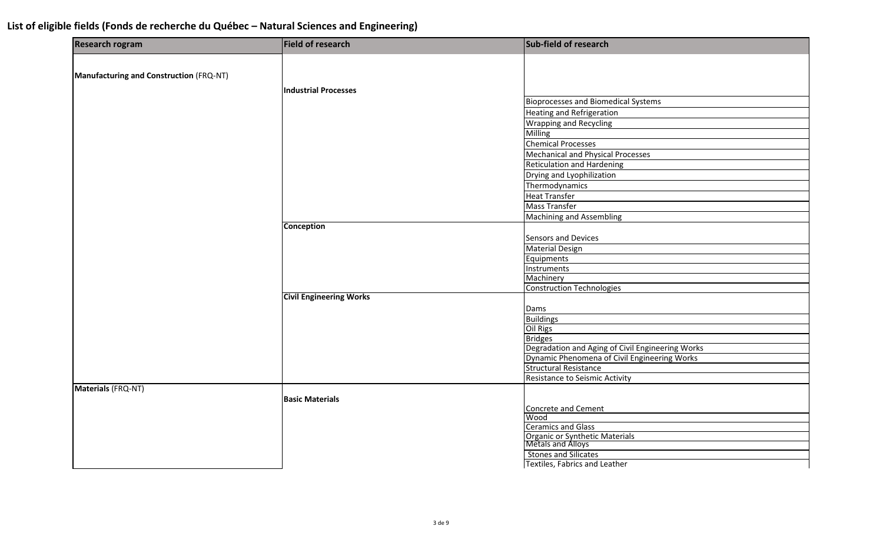| <b>Research rogram</b>                  | Field of research              | Sub-field of research                               |
|-----------------------------------------|--------------------------------|-----------------------------------------------------|
|                                         |                                |                                                     |
| Manufacturing and Construction (FRQ-NT) |                                |                                                     |
|                                         | <b>Industrial Processes</b>    |                                                     |
|                                         |                                | <b>Bioprocesses and Biomedical Systems</b>          |
|                                         |                                | <b>Heating and Refrigeration</b>                    |
|                                         |                                | <b>Wrapping and Recycling</b>                       |
|                                         |                                | Milling                                             |
|                                         |                                | <b>Chemical Processes</b>                           |
|                                         |                                | Mechanical and Physical Processes                   |
|                                         |                                | <b>Reticulation and Hardening</b>                   |
|                                         |                                | Drying and Lyophilization                           |
|                                         |                                | Thermodynamics                                      |
|                                         |                                | <b>Heat Transfer</b>                                |
|                                         |                                | <b>Mass Transfer</b>                                |
|                                         |                                | <b>Machining and Assembling</b>                     |
|                                         | <b>Conception</b>              |                                                     |
|                                         |                                | Sensors and Devices                                 |
|                                         |                                | <b>Material Design</b>                              |
|                                         |                                | Equipments                                          |
|                                         |                                | Instruments                                         |
|                                         |                                | Machinery                                           |
|                                         |                                | <b>Construction Technologies</b>                    |
|                                         | <b>Civil Engineering Works</b> |                                                     |
|                                         |                                | Dams                                                |
|                                         |                                | <b>Buildings</b>                                    |
|                                         |                                | Oil Rigs                                            |
|                                         |                                | <b>Bridges</b>                                      |
|                                         |                                | Degradation and Aging of Civil Engineering Works    |
|                                         |                                | Dynamic Phenomena of Civil Engineering Works        |
|                                         |                                | <b>Structural Resistance</b>                        |
|                                         |                                | Resistance to Seismic Activity                      |
| Materials (FRQ-NT)                      |                                |                                                     |
|                                         | <b>Basic Materials</b>         |                                                     |
|                                         |                                | <b>Concrete and Cement</b>                          |
|                                         |                                | Wood                                                |
|                                         |                                | <b>Ceramics and Glass</b>                           |
|                                         |                                | Organic or Synthetic Materials<br>Metals and Alloys |
|                                         |                                | <b>Stones and Silicates</b>                         |
|                                         |                                | Textiles, Fabrics and Leather                       |
|                                         |                                |                                                     |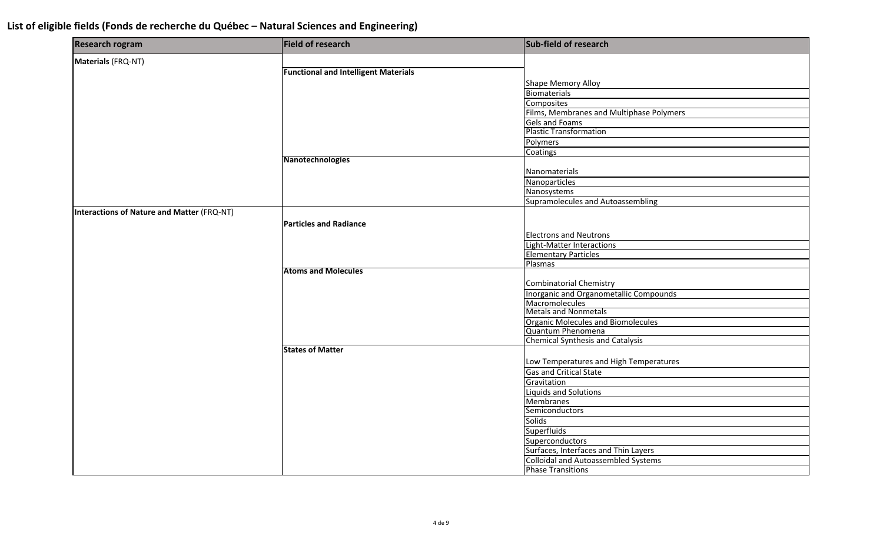| <b>Research rogram</b>                     | Field of research                           | Sub-field of research                      |
|--------------------------------------------|---------------------------------------------|--------------------------------------------|
| Materials (FRQ-NT)                         |                                             |                                            |
|                                            | <b>Functional and Intelligent Materials</b> |                                            |
|                                            |                                             | <b>Shape Memory Alloy</b>                  |
|                                            |                                             | <b>Biomaterials</b>                        |
|                                            |                                             | <b>Composites</b>                          |
|                                            |                                             | Films, Membranes and Multiphase Polymers   |
|                                            |                                             | <b>Gels and Foams</b>                      |
|                                            |                                             | <b>Plastic Transformation</b>              |
|                                            |                                             | Polymers                                   |
|                                            |                                             | Coatings                                   |
|                                            | Nanotechnologies                            |                                            |
|                                            |                                             | Nanomaterials                              |
|                                            |                                             | Nanoparticles                              |
|                                            |                                             | Nanosystems                                |
|                                            |                                             | Supramolecules and Autoassembling          |
| Interactions of Nature and Matter (FRQ-NT) |                                             |                                            |
|                                            | <b>Particles and Radiance</b>               |                                            |
|                                            |                                             | <b>Electrons and Neutrons</b>              |
|                                            |                                             | <b>Light-Matter Interactions</b>           |
|                                            |                                             | <b>Elementary Particles</b>                |
|                                            |                                             | Plasmas                                    |
|                                            | <b>Atoms and Molecules</b>                  |                                            |
|                                            |                                             | <b>Combinatorial Chemistry</b>             |
|                                            |                                             | Inorganic and Organometallic Compounds     |
|                                            |                                             | Macromolecules                             |
|                                            |                                             | <b>Metals and Nonmetals</b>                |
|                                            |                                             | <b>Organic Molecules and Biomolecules</b>  |
|                                            |                                             | Quantum Phenomena                          |
|                                            |                                             | <b>Chemical Synthesis and Catalysis</b>    |
|                                            | <b>States of Matter</b>                     |                                            |
|                                            |                                             | Low Temperatures and High Temperatures     |
|                                            |                                             | <b>Gas and Critical State</b>              |
|                                            |                                             | Gravitation                                |
|                                            |                                             | <b>Liquids and Solutions</b>               |
|                                            |                                             | <b>Membranes</b>                           |
|                                            |                                             | Semiconductors                             |
|                                            |                                             | <b>Solids</b>                              |
|                                            |                                             | <b>Superfluids</b>                         |
|                                            |                                             | Superconductors                            |
|                                            |                                             | Surfaces, Interfaces and Thin Layers       |
|                                            |                                             | <b>Colloidal and Autoassembled Systems</b> |
|                                            |                                             | <b>Phase Transitions</b>                   |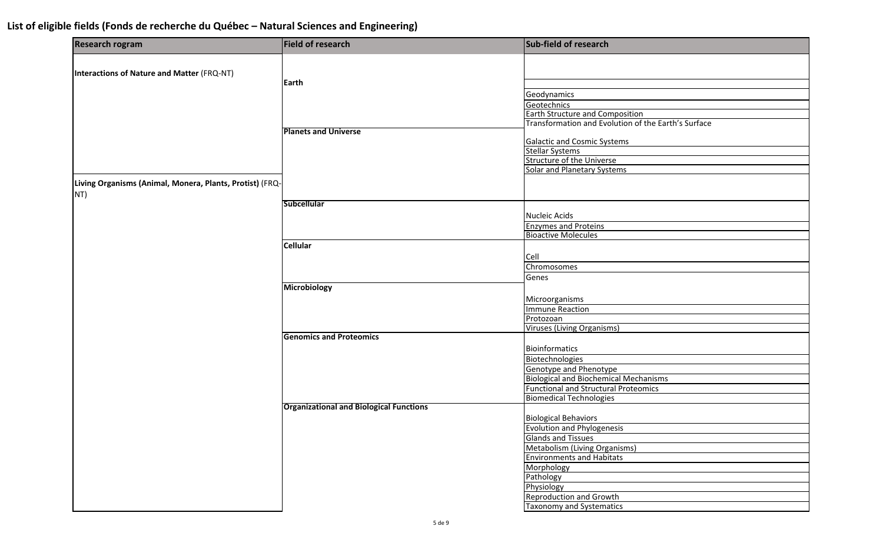| <b>Research rogram</b>                                   | Field of research                              | Sub-field of research                               |
|----------------------------------------------------------|------------------------------------------------|-----------------------------------------------------|
|                                                          |                                                |                                                     |
| <b>Interactions of Nature and Matter (FRQ-NT)</b>        |                                                |                                                     |
|                                                          | <b>Earth</b>                                   |                                                     |
|                                                          |                                                | Geodynamics                                         |
|                                                          |                                                | Geotechnics                                         |
|                                                          |                                                | Earth Structure and Composition                     |
|                                                          |                                                | Transformation and Evolution of the Earth's Surface |
|                                                          | <b>Planets and Universe</b>                    |                                                     |
|                                                          |                                                | <b>Galactic and Cosmic Systems</b>                  |
|                                                          |                                                | <b>Stellar Systems</b><br>Structure of the Universe |
|                                                          |                                                | Solar and Planetary Systems                         |
|                                                          |                                                |                                                     |
| Living Organisms (Animal, Monera, Plants, Protist) (FRQ- |                                                |                                                     |
| NT)                                                      |                                                |                                                     |
|                                                          | <b>Subcellular</b>                             |                                                     |
|                                                          |                                                | Nucleic Acids                                       |
|                                                          |                                                | <b>Enzymes and Proteins</b>                         |
|                                                          |                                                | <b>Bioactive Molecules</b>                          |
|                                                          | <b>Cellular</b>                                |                                                     |
|                                                          |                                                | Cell                                                |
|                                                          |                                                | Chromosomes                                         |
|                                                          |                                                | Genes                                               |
|                                                          | <b>Microbiology</b>                            |                                                     |
|                                                          |                                                | Microorganisms                                      |
|                                                          |                                                | <b>Immune Reaction</b>                              |
|                                                          |                                                | Protozoan                                           |
|                                                          |                                                | <b>Viruses (Living Organisms)</b>                   |
|                                                          | <b>Genomics and Proteomics</b>                 |                                                     |
|                                                          |                                                | <b>Bioinformatics</b>                               |
|                                                          |                                                | Biotechnologies                                     |
|                                                          |                                                | <b>Genotype and Phenotype</b>                       |
|                                                          |                                                | <b>Biological and Biochemical Mechanisms</b>        |
|                                                          |                                                | <b>Functional and Structural Proteomics</b>         |
|                                                          |                                                | <b>Biomedical Technologies</b>                      |
|                                                          | <b>Organizational and Biological Functions</b> |                                                     |
|                                                          |                                                | <b>Biological Behaviors</b>                         |
|                                                          |                                                | <b>Evolution and Phylogenesis</b>                   |
|                                                          |                                                | <b>Glands and Tissues</b>                           |
|                                                          |                                                | Metabolism (Living Organisms)                       |
|                                                          |                                                | <b>Environments and Habitats</b>                    |
|                                                          |                                                | Morphology                                          |
|                                                          |                                                | Pathology                                           |
|                                                          |                                                | Physiology                                          |
|                                                          |                                                | <b>Reproduction and Growth</b>                      |
|                                                          |                                                | <b>Taxonomy and Systematics</b>                     |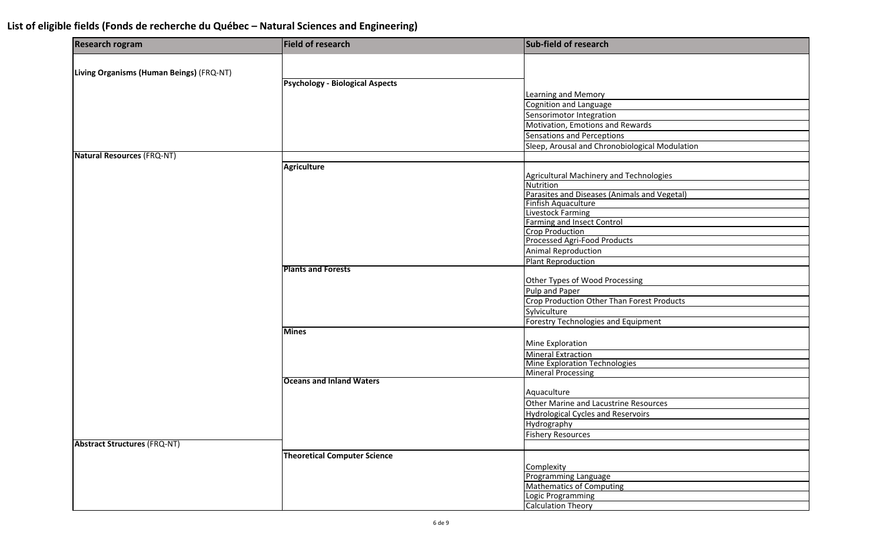| <b>Research rogram</b>                   | <b>Field of research</b>               | Sub-field of research                                         |
|------------------------------------------|----------------------------------------|---------------------------------------------------------------|
|                                          |                                        |                                                               |
| Living Organisms (Human Beings) (FRQ-NT) |                                        |                                                               |
|                                          | <b>Psychology - Biological Aspects</b> |                                                               |
|                                          |                                        | <b>Learning and Memory</b>                                    |
|                                          |                                        | Cognition and Language<br>Sensorimotor Integration            |
|                                          |                                        | Motivation, Emotions and Rewards                              |
|                                          |                                        | Sensations and Perceptions                                    |
|                                          |                                        | Sleep, Arousal and Chronobiological Modulation                |
| <b>Natural Resources (FRQ-NT)</b>        |                                        |                                                               |
|                                          | <b>Agriculture</b>                     |                                                               |
|                                          |                                        | <b>Agricultural Machinery and Technologies</b>                |
|                                          |                                        | Nutrition                                                     |
|                                          |                                        | Parasites and Diseases (Animals and Vegetal)                  |
|                                          |                                        | Finfish Aquaculture                                           |
|                                          |                                        | <b>Livestock Farming</b>                                      |
|                                          |                                        | <b>Farming and Insect Control</b>                             |
|                                          |                                        | <b>Crop Production</b><br><b>Processed Agri-Food Products</b> |
|                                          |                                        | <b>Animal Reproduction</b>                                    |
|                                          |                                        | <b>Plant Reproduction</b>                                     |
|                                          | <b>Plants and Forests</b>              |                                                               |
|                                          |                                        | Other Types of Wood Processing                                |
|                                          |                                        | Pulp and Paper                                                |
|                                          |                                        | <b>Crop Production Other Than Forest Products</b>             |
|                                          |                                        | Sylviculture                                                  |
|                                          |                                        | Forestry Technologies and Equipment                           |
|                                          | <b>Mines</b>                           |                                                               |
|                                          |                                        | Mine Exploration                                              |
|                                          |                                        | <b>Mineral Extraction</b>                                     |
|                                          |                                        | <b>Mine Exploration Technologies</b>                          |
|                                          |                                        | <b>Mineral Processing</b>                                     |
|                                          | <b>Oceans and Inland Waters</b>        |                                                               |
|                                          |                                        | Aquaculture                                                   |
|                                          |                                        | Other Marine and Lacustrine Resources                         |
|                                          |                                        | <b>Hydrological Cycles and Reservoirs</b>                     |
|                                          |                                        | Hydrography                                                   |
|                                          |                                        | <b>Fishery Resources</b>                                      |
| <b>Abstract Structures (FRQ-NT)</b>      |                                        |                                                               |
|                                          | <b>Theoretical Computer Science</b>    |                                                               |
|                                          |                                        | Complexity                                                    |
|                                          |                                        | Programming Language                                          |
|                                          |                                        | <b>Mathematics of Computing</b>                               |
|                                          |                                        | Logic Programming                                             |
|                                          |                                        | <b>Calculation Theory</b>                                     |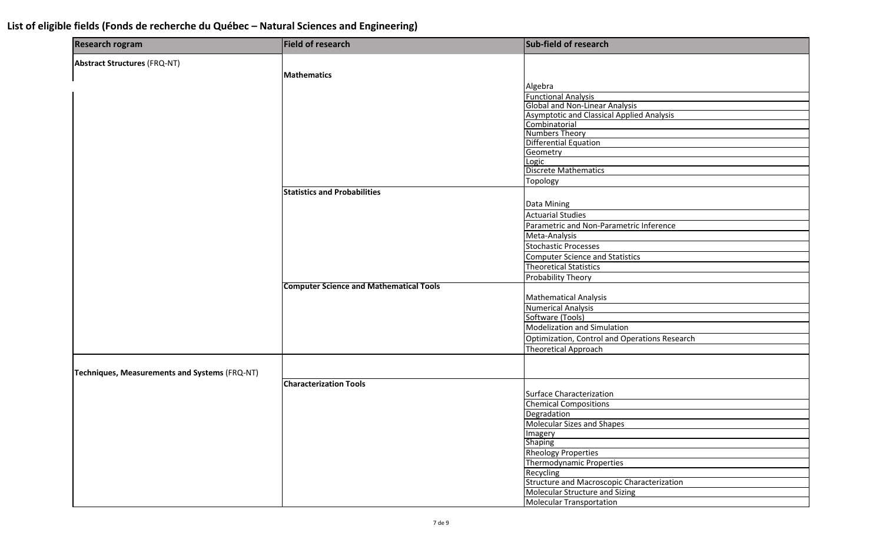| <b>Research rogram</b>                        | Field of research                              | Sub-field of research                            |
|-----------------------------------------------|------------------------------------------------|--------------------------------------------------|
| <b>Abstract Structures (FRQ-NT)</b>           |                                                |                                                  |
|                                               | Mathematics                                    |                                                  |
|                                               |                                                | Algebra                                          |
|                                               |                                                | <b>Functional Analysis</b>                       |
|                                               |                                                | <b>Global and Non-Linear Analysis</b>            |
|                                               |                                                | <b>Asymptotic and Classical Applied Analysis</b> |
|                                               |                                                | Combinatorial                                    |
|                                               |                                                | <b>Numbers Theory</b>                            |
|                                               |                                                | Differential Equation                            |
|                                               |                                                | Geometry                                         |
|                                               |                                                | Logic                                            |
|                                               |                                                | <b>Discrete Mathematics</b>                      |
|                                               |                                                | Topology                                         |
|                                               | <b>Statistics and Probabilities</b>            |                                                  |
|                                               |                                                | Data Mining                                      |
|                                               |                                                | <b>Actuarial Studies</b>                         |
|                                               |                                                | Parametric and Non-Parametric Inference          |
|                                               |                                                | Meta-Analysis                                    |
|                                               |                                                | <b>Stochastic Processes</b>                      |
|                                               |                                                | <b>Computer Science and Statistics</b>           |
|                                               |                                                | <b>Theoretical Statistics</b>                    |
|                                               |                                                | Probability Theory                               |
|                                               | <b>Computer Science and Mathematical Tools</b> |                                                  |
|                                               |                                                | <b>Mathematical Analysis</b>                     |
|                                               |                                                | <b>Numerical Analysis</b>                        |
|                                               |                                                | Software (Tools)                                 |
|                                               |                                                | Modelization and Simulation                      |
|                                               |                                                | Optimization, Control and Operations Research    |
|                                               |                                                | <b>Theoretical Approach</b>                      |
|                                               |                                                |                                                  |
| Techniques, Measurements and Systems (FRQ-NT) |                                                |                                                  |
|                                               | <b>Characterization Tools</b>                  |                                                  |
|                                               |                                                | Surface Characterization                         |
|                                               |                                                | <b>Chemical Compositions</b>                     |
|                                               |                                                |                                                  |
|                                               |                                                | Degradation<br>Molecular Sizes and Shapes        |
|                                               |                                                | Imagery                                          |
|                                               |                                                | <b>Shaping</b>                                   |
|                                               |                                                | <b>Rheology Properties</b>                       |
|                                               |                                                | Thermodynamic Properties                         |
|                                               |                                                | Recycling                                        |
|                                               |                                                | Structure and Macroscopic Characterization       |
|                                               |                                                | Molecular Structure and Sizing                   |
|                                               |                                                | <b>Molecular Transportation</b>                  |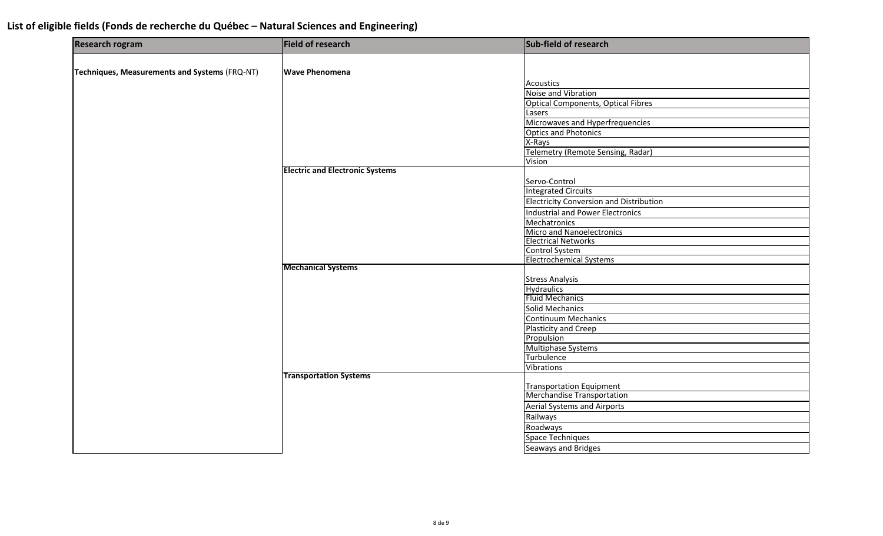| <b>Research rogram</b>                        | Field of research                      | Sub-field of research                     |
|-----------------------------------------------|----------------------------------------|-------------------------------------------|
|                                               |                                        |                                           |
| Techniques, Measurements and Systems (FRQ-NT) | <b>Wave Phenomena</b>                  |                                           |
|                                               |                                        | <b>Acoustics</b>                          |
|                                               |                                        | Noise and Vibration                       |
|                                               |                                        | <b>Optical Components, Optical Fibres</b> |
|                                               |                                        | Lasers                                    |
|                                               |                                        | Microwaves and Hyperfrequencies           |
|                                               |                                        | <b>Optics and Photonics</b>               |
|                                               |                                        | X-Rays                                    |
|                                               |                                        | Telemetry (Remote Sensing, Radar)         |
|                                               |                                        | Vision                                    |
|                                               | <b>Electric and Electronic Systems</b> |                                           |
|                                               |                                        | Servo-Control                             |
|                                               |                                        | <b>Integrated Circuits</b>                |
|                                               |                                        | Electricity Conversion and Distribution   |
|                                               |                                        | Industrial and Power Electronics          |
|                                               |                                        | <b>Mechatronics</b>                       |
|                                               |                                        | Micro and Nanoelectronics                 |
|                                               |                                        | <b>Electrical Networks</b>                |
|                                               |                                        | <b>Control System</b>                     |
|                                               |                                        | <b>Electrochemical Systems</b>            |
|                                               | <b>Mechanical Systems</b>              |                                           |
|                                               |                                        | <b>Stress Analysis</b>                    |
|                                               |                                        | <b>Hydraulics</b>                         |
|                                               |                                        | <b>Fluid Mechanics</b>                    |
|                                               |                                        | <b>Solid Mechanics</b>                    |
|                                               |                                        | <b>Continuum Mechanics</b>                |
|                                               |                                        | Plasticity and Creep                      |
|                                               |                                        | Propulsion                                |
|                                               |                                        | <b>Multiphase Systems</b>                 |
|                                               |                                        | Turbulence                                |
|                                               |                                        | Vibrations                                |
|                                               | <b>Transportation Systems</b>          |                                           |
|                                               |                                        | <b>Transportation Equipment</b>           |
|                                               |                                        | Merchandise Transportation                |
|                                               |                                        | <b>Aerial Systems and Airports</b>        |
|                                               |                                        | Railways                                  |
|                                               |                                        | Roadways                                  |
|                                               |                                        | Space Techniques                          |
|                                               |                                        | <b>Seaways and Bridges</b>                |
|                                               |                                        |                                           |